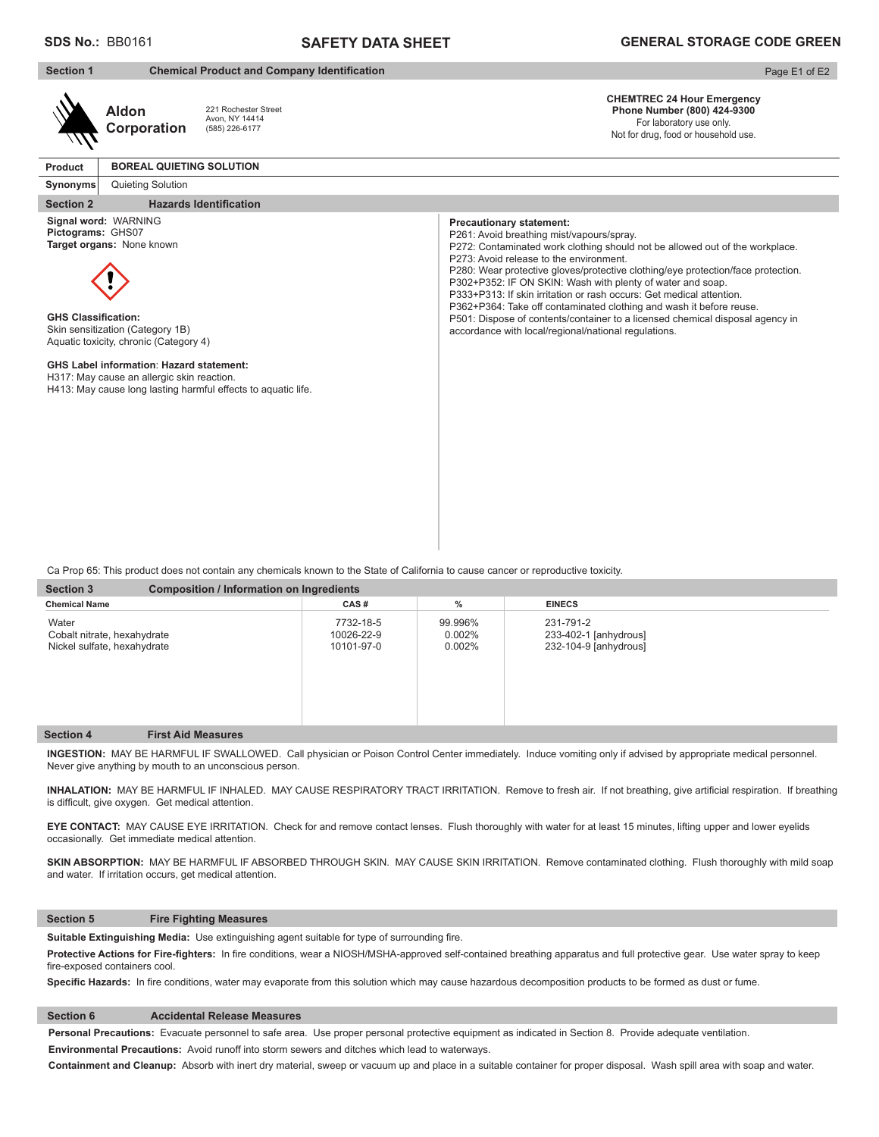## **SAFETY DATA SHEET**

| <b>Section 1</b>                                |                                                                                                                                                                                                                                  | <b>Chemical Product and Company Identification</b>            |                                                                                                                                                                                                                                                                                                                                                                                                                                                                                                                                                                                                                                                   | Page E1 of E2 |
|-------------------------------------------------|----------------------------------------------------------------------------------------------------------------------------------------------------------------------------------------------------------------------------------|---------------------------------------------------------------|---------------------------------------------------------------------------------------------------------------------------------------------------------------------------------------------------------------------------------------------------------------------------------------------------------------------------------------------------------------------------------------------------------------------------------------------------------------------------------------------------------------------------------------------------------------------------------------------------------------------------------------------------|---------------|
|                                                 | <b>Aldon</b><br>Corporation                                                                                                                                                                                                      | 221 Rochester Street<br>Avon, NY 14414<br>(585) 226-6177      | <b>CHEMTREC 24 Hour Emergency</b><br>Phone Number (800) 424-9300<br>For laboratory use only.<br>Not for drug, food or household use.                                                                                                                                                                                                                                                                                                                                                                                                                                                                                                              |               |
| Product                                         | <b>BOREAL QUIETING SOLUTION</b>                                                                                                                                                                                                  |                                                               |                                                                                                                                                                                                                                                                                                                                                                                                                                                                                                                                                                                                                                                   |               |
| Synonyms                                        | Quieting Solution                                                                                                                                                                                                                |                                                               |                                                                                                                                                                                                                                                                                                                                                                                                                                                                                                                                                                                                                                                   |               |
| <b>Section 2</b>                                |                                                                                                                                                                                                                                  | <b>Hazards Identification</b>                                 |                                                                                                                                                                                                                                                                                                                                                                                                                                                                                                                                                                                                                                                   |               |
| Pictograms: GHS07<br><b>GHS Classification:</b> | Signal word: WARNING<br>Target organs: None known<br>Skin sensitization (Category 1B)<br>Aquatic toxicity, chronic (Category 4)<br><b>GHS Label information: Hazard statement:</b><br>H317: May cause an allergic skin reaction. | H413: May cause long lasting harmful effects to aquatic life. | <b>Precautionary statement:</b><br>P261: Avoid breathing mist/vapours/spray.<br>P272: Contaminated work clothing should not be allowed out of the workplace.<br>P273: Avoid release to the environment.<br>P280: Wear protective gloves/protective clothing/eye protection/face protection.<br>P302+P352: IF ON SKIN: Wash with plenty of water and soap.<br>P333+P313: If skin irritation or rash occurs: Get medical attention.<br>P362+P364: Take off contaminated clothing and wash it before reuse.<br>P501: Dispose of contents/container to a licensed chemical disposal agency in<br>accordance with local/regional/national regulations. |               |

Ca Prop 65: This product does not contain any chemicals known to the State of California to cause cancer or reproductive toxicity.

| <b>Section 3</b>                                                    | <b>Composition / Information on Ingredients</b> |                                       |                                   |                                                             |  |
|---------------------------------------------------------------------|-------------------------------------------------|---------------------------------------|-----------------------------------|-------------------------------------------------------------|--|
| <b>Chemical Name</b>                                                |                                                 | CAS#                                  | $\%$                              | <b>EINECS</b>                                               |  |
| Water<br>Cobalt nitrate, hexahydrate<br>Nickel sulfate, hexahydrate |                                                 | 7732-18-5<br>10026-22-9<br>10101-97-0 | 99.996%<br>$0.002\%$<br>$0.002\%$ | 231-791-2<br>233-402-1 [anhydrous]<br>232-104-9 [anhydrous] |  |
| <b>Section 4</b>                                                    | <b>First Aid Measures</b>                       |                                       |                                   |                                                             |  |

**INGESTION:** MAY BE HARMFUL IF SWALLOWED. Call physician or Poison Control Center immediately. Induce vomiting only if advised by appropriate medical personnel. Never give anything by mouth to an unconscious person.

**INHALATION:** MAY BE HARMFUL IF INHALED. MAY CAUSE RESPIRATORY TRACT IRRITATION. Remove to fresh air. If not breathing, give artificial respiration. If breathing is difficult, give oxygen. Get medical attention.

**EYE CONTACT:** MAY CAUSE EYE IRRITATION. Check for and remove contact lenses. Flush thoroughly with water for at least 15 minutes, lifting upper and lower eyelids occasionally. Get immediate medical attention.

SKIN ABSORPTION: MAY BE HARMFUL IF ABSORBED THROUGH SKIN. MAY CAUSE SKIN IRRITATION. Remove contaminated clothing. Flush thoroughly with mild soap and water. If irritation occurs, get medical attention.

### **Section 5 Fire Fighting Measures**

**Suitable Extinguishing Media:** Use extinguishing agent suitable for type of surrounding fire.

Protective Actions for Fire-fighters: In fire conditions, wear a NIOSH/MSHA-approved self-contained breathing apparatus and full protective gear. Use water spray to keep fire-exposed containers cool.

**Specific Hazards:** In fire conditions, water may evaporate from this solution which may cause hazardous decomposition products to be formed as dust or fume.

## **Section 6 Accidental Release Measures**

**Personal Precautions:** Evacuate personnel to safe area. Use proper personal protective equipment as indicated in Section 8. Provide adequate ventilation. **Environmental Precautions:** Avoid runoff into storm sewers and ditches which lead to waterways.

**Containment and Cleanup:** Absorb with inert dry material, sweep or vacuum up and place in a suitable container for proper disposal. Wash spill area with soap and water.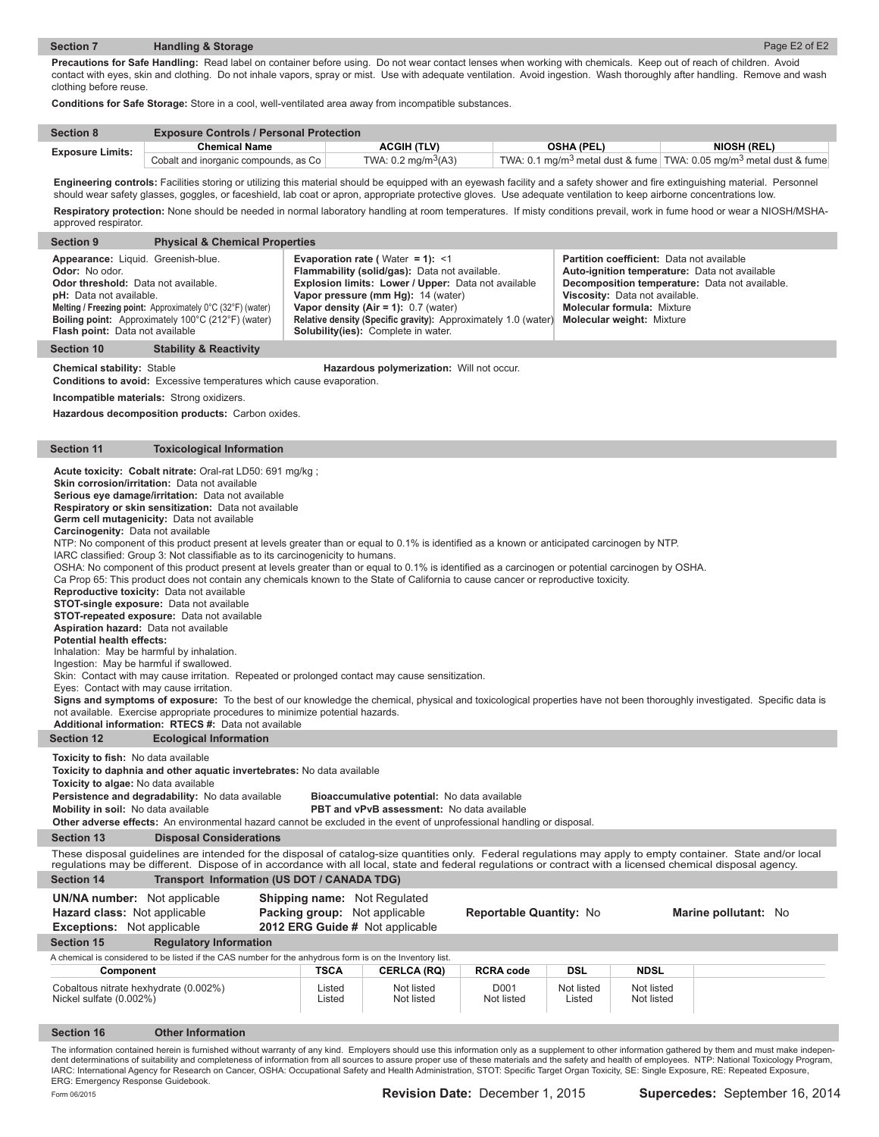#### **Section 7 Handling & Storage**  Page E2 of E2 **Precautions for Safe Handling:** Read label on container before using. Do not wear contact lenses when working with chemicals. Keep out of reach of children. Avoid

contact with eyes, skin and clothing. Do not inhale vapors, spray or mist. Use with adequate ventilation. Avoid ingestion. Wash thoroughly after handling. Remove and wash clothing before reuse.

**Conditions for Safe Storage:** Store in a cool, well-ventilated area away from incompatible substances.

| <b>Section 8</b>        | <b>Exposure Controls / Personal Protection</b> |                                 |                   |                                                                                            |  |
|-------------------------|------------------------------------------------|---------------------------------|-------------------|--------------------------------------------------------------------------------------------|--|
| <b>Exposure Limits:</b> | <b>Chemical Name</b>                           | <b>ACGIH (TLV)</b>              | <b>OSHA (PEL)</b> | <b>NIOSH (REL)</b>                                                                         |  |
|                         | Cobalt and inorganic compounds, as Co          | TWA: 0.2 mg/m <sup>3</sup> (A3) |                   | TWA: 0.1 mg/m <sup>3</sup> metal dust & fume TWA: 0.05 mg/m <sup>3</sup> metal dust & fume |  |

Engineering controls: Facilities storing or utilizing this material should be equipped with an eyewash facility and a safety shower and fire extinguishing material. Personnel should wear safety glasses, goggles, or faceshield, lab coat or apron, appropriate protective gloves. Use adequate ventilation to keep airborne concentrations low. **Respiratory protection:** None should be needed in normal laboratory handling at room temperatures. If misty conditions prevail, work in fume hood or wear a NIOSH/MSHA-

| approved respirator.                                                                                                                                                                                                                                                                                                                                                                                                                                                                                                           |                                                                                                                                                                                                                                                                                                                                                                                                                                                                                                                                                                                                                                                                                                                                                                                                                                                                                                                                                                                                                                                                                                                                                                                                                                                                                                                                                                                                                                                                                         |                                                                                                         |                                                                                                                                                                                                                                                                                  |                                                                |                      |                                                                                                                                                      |                                                                                                                                                                                                                                                                                                                                                                                                              |
|--------------------------------------------------------------------------------------------------------------------------------------------------------------------------------------------------------------------------------------------------------------------------------------------------------------------------------------------------------------------------------------------------------------------------------------------------------------------------------------------------------------------------------|-----------------------------------------------------------------------------------------------------------------------------------------------------------------------------------------------------------------------------------------------------------------------------------------------------------------------------------------------------------------------------------------------------------------------------------------------------------------------------------------------------------------------------------------------------------------------------------------------------------------------------------------------------------------------------------------------------------------------------------------------------------------------------------------------------------------------------------------------------------------------------------------------------------------------------------------------------------------------------------------------------------------------------------------------------------------------------------------------------------------------------------------------------------------------------------------------------------------------------------------------------------------------------------------------------------------------------------------------------------------------------------------------------------------------------------------------------------------------------------------|---------------------------------------------------------------------------------------------------------|----------------------------------------------------------------------------------------------------------------------------------------------------------------------------------------------------------------------------------------------------------------------------------|----------------------------------------------------------------|----------------------|------------------------------------------------------------------------------------------------------------------------------------------------------|--------------------------------------------------------------------------------------------------------------------------------------------------------------------------------------------------------------------------------------------------------------------------------------------------------------------------------------------------------------------------------------------------------------|
| <b>Section 9</b><br><b>Physical &amp; Chemical Properties</b>                                                                                                                                                                                                                                                                                                                                                                                                                                                                  |                                                                                                                                                                                                                                                                                                                                                                                                                                                                                                                                                                                                                                                                                                                                                                                                                                                                                                                                                                                                                                                                                                                                                                                                                                                                                                                                                                                                                                                                                         |                                                                                                         |                                                                                                                                                                                                                                                                                  |                                                                |                      |                                                                                                                                                      |                                                                                                                                                                                                                                                                                                                                                                                                              |
| Appearance: Liquid. Greenish-blue.<br><b>Odor:</b> No odor.<br><b>Odor threshold:</b> Data not available.<br>pH: Data not available.<br>Flash point: Data not available                                                                                                                                                                                                                                                                                                                                                        | Melting / Freezing point: Approximately 0°C (32°F) (water)<br>Boiling point: Approximately 100°C (212°F) (water)                                                                                                                                                                                                                                                                                                                                                                                                                                                                                                                                                                                                                                                                                                                                                                                                                                                                                                                                                                                                                                                                                                                                                                                                                                                                                                                                                                        |                                                                                                         | <b>Evaporation rate (Water = 1): &lt;1</b><br>Flammability (solid/gas): Data not available.<br>Explosion limits: Lower / Upper: Data not available<br>Vapor pressure (mm Hg): 14 (water)<br>Vapor density $(Air = 1): 0.7$ (water)<br><b>Solubility(ies):</b> Complete in water. | Relative density (Specific gravity): Approximately 1.0 (water) |                      | Partition coefficient: Data not available<br>Viscosity: Data not available.<br><b>Molecular formula: Mixture</b><br><b>Molecular weight: Mixture</b> | Auto-ignition temperature: Data not available<br>Decomposition temperature: Data not available.                                                                                                                                                                                                                                                                                                              |
| <b>Section 10</b>                                                                                                                                                                                                                                                                                                                                                                                                                                                                                                              | <b>Stability &amp; Reactivity</b>                                                                                                                                                                                                                                                                                                                                                                                                                                                                                                                                                                                                                                                                                                                                                                                                                                                                                                                                                                                                                                                                                                                                                                                                                                                                                                                                                                                                                                                       |                                                                                                         |                                                                                                                                                                                                                                                                                  |                                                                |                      |                                                                                                                                                      |                                                                                                                                                                                                                                                                                                                                                                                                              |
|                                                                                                                                                                                                                                                                                                                                                                                                                                                                                                                                | <b>Chemical stability: Stable</b><br>Hazardous polymerization: Will not occur.<br><b>Conditions to avoid:</b> Excessive temperatures which cause evaporation.<br>Incompatible materials: Strong oxidizers.<br>Hazardous decomposition products: Carbon oxides.                                                                                                                                                                                                                                                                                                                                                                                                                                                                                                                                                                                                                                                                                                                                                                                                                                                                                                                                                                                                                                                                                                                                                                                                                          |                                                                                                         |                                                                                                                                                                                                                                                                                  |                                                                |                      |                                                                                                                                                      |                                                                                                                                                                                                                                                                                                                                                                                                              |
| <b>Section 11</b>                                                                                                                                                                                                                                                                                                                                                                                                                                                                                                              | <b>Toxicological Information</b>                                                                                                                                                                                                                                                                                                                                                                                                                                                                                                                                                                                                                                                                                                                                                                                                                                                                                                                                                                                                                                                                                                                                                                                                                                                                                                                                                                                                                                                        |                                                                                                         |                                                                                                                                                                                                                                                                                  |                                                                |                      |                                                                                                                                                      |                                                                                                                                                                                                                                                                                                                                                                                                              |
| not available. Exercise appropriate procedures to minimize potential hazards.                                                                                                                                                                                                                                                                                                                                                                                                                                                  | Acute toxicity: Cobalt nitrate: Oral-rat LD50: 691 mg/kg;<br>Skin corrosion/irritation: Data not available<br>Serious eye damage/irritation: Data not available<br>Respiratory or skin sensitization: Data not available<br>Germ cell mutagenicity: Data not available<br>Carcinogenity: Data not available<br>NTP: No component of this product present at levels greater than or equal to 0.1% is identified as a known or anticipated carcinogen by NTP.<br>IARC classified: Group 3: Not classifiable as to its carcinogenicity to humans.<br>OSHA: No component of this product present at levels greater than or equal to 0.1% is identified as a carcinogen or potential carcinogen by OSHA.<br>Ca Prop 65: This product does not contain any chemicals known to the State of California to cause cancer or reproductive toxicity.<br>Reproductive toxicity: Data not available<br><b>STOT-single exposure:</b> Data not available<br>STOT-repeated exposure: Data not available<br>Aspiration hazard: Data not available<br><b>Potential health effects:</b><br>Inhalation: May be harmful by inhalation.<br>Ingestion: May be harmful if swallowed.<br>Skin: Contact with may cause irritation. Repeated or prolonged contact may cause sensitization.<br>Eyes: Contact with may cause irritation.<br>Signs and symptoms of exposure: To the best of our knowledge the chemical, physical and toxicological properties have not been thoroughly investigated. Specific data is |                                                                                                         |                                                                                                                                                                                                                                                                                  |                                                                |                      |                                                                                                                                                      |                                                                                                                                                                                                                                                                                                                                                                                                              |
|                                                                                                                                                                                                                                                                                                                                                                                                                                                                                                                                | Additional information: RTECS #: Data not available                                                                                                                                                                                                                                                                                                                                                                                                                                                                                                                                                                                                                                                                                                                                                                                                                                                                                                                                                                                                                                                                                                                                                                                                                                                                                                                                                                                                                                     |                                                                                                         |                                                                                                                                                                                                                                                                                  |                                                                |                      |                                                                                                                                                      |                                                                                                                                                                                                                                                                                                                                                                                                              |
| <b>Section 12</b><br><b>Ecological Information</b><br>Toxicity to fish: No data available<br>Toxicity to daphnia and other aquatic invertebrates: No data available<br>Toxicity to algae: No data available<br>Persistence and degradability: No data available<br>Bioaccumulative potential: No data available<br>Mobility in soil: No data available<br>PBT and vPvB assessment: No data available<br>Other adverse effects: An environmental hazard cannot be excluded in the event of unprofessional handling or disposal. |                                                                                                                                                                                                                                                                                                                                                                                                                                                                                                                                                                                                                                                                                                                                                                                                                                                                                                                                                                                                                                                                                                                                                                                                                                                                                                                                                                                                                                                                                         |                                                                                                         |                                                                                                                                                                                                                                                                                  |                                                                |                      |                                                                                                                                                      |                                                                                                                                                                                                                                                                                                                                                                                                              |
| <b>Section 13</b>                                                                                                                                                                                                                                                                                                                                                                                                                                                                                                              | <b>Disposal Considerations</b>                                                                                                                                                                                                                                                                                                                                                                                                                                                                                                                                                                                                                                                                                                                                                                                                                                                                                                                                                                                                                                                                                                                                                                                                                                                                                                                                                                                                                                                          |                                                                                                         |                                                                                                                                                                                                                                                                                  |                                                                |                      |                                                                                                                                                      |                                                                                                                                                                                                                                                                                                                                                                                                              |
|                                                                                                                                                                                                                                                                                                                                                                                                                                                                                                                                | These disposal guidelines are intended for the disposal of catalog-size quantities only. Federal regulations may apply to empty container. State and/or local<br>regulations may be different. Dispose of in accordance with all local, state and federal regulations or contract with a licensed chemical disposal agency.                                                                                                                                                                                                                                                                                                                                                                                                                                                                                                                                                                                                                                                                                                                                                                                                                                                                                                                                                                                                                                                                                                                                                             |                                                                                                         |                                                                                                                                                                                                                                                                                  |                                                                |                      |                                                                                                                                                      |                                                                                                                                                                                                                                                                                                                                                                                                              |
| <b>Section 14</b>                                                                                                                                                                                                                                                                                                                                                                                                                                                                                                              | Transport Information (US DOT / CANADA TDG)                                                                                                                                                                                                                                                                                                                                                                                                                                                                                                                                                                                                                                                                                                                                                                                                                                                                                                                                                                                                                                                                                                                                                                                                                                                                                                                                                                                                                                             |                                                                                                         |                                                                                                                                                                                                                                                                                  |                                                                |                      |                                                                                                                                                      |                                                                                                                                                                                                                                                                                                                                                                                                              |
| <b>UN/NA number:</b> Not applicable<br>Hazard class: Not applicable<br><b>Exceptions:</b> Not applicable<br><b>Section 15</b>                                                                                                                                                                                                                                                                                                                                                                                                  |                                                                                                                                                                                                                                                                                                                                                                                                                                                                                                                                                                                                                                                                                                                                                                                                                                                                                                                                                                                                                                                                                                                                                                                                                                                                                                                                                                                                                                                                                         | <b>Shipping name:</b> Not Regulated<br>Packing group: Not applicable<br>2012 ERG Guide # Not applicable |                                                                                                                                                                                                                                                                                  | Reportable Quantity: No                                        |                      |                                                                                                                                                      | <b>Marine pollutant: No</b>                                                                                                                                                                                                                                                                                                                                                                                  |
|                                                                                                                                                                                                                                                                                                                                                                                                                                                                                                                                | <b>Regulatory Information</b><br>A chemical is considered to be listed if the CAS number for the anhydrous form is on the Inventory list.                                                                                                                                                                                                                                                                                                                                                                                                                                                                                                                                                                                                                                                                                                                                                                                                                                                                                                                                                                                                                                                                                                                                                                                                                                                                                                                                               |                                                                                                         |                                                                                                                                                                                                                                                                                  |                                                                |                      |                                                                                                                                                      |                                                                                                                                                                                                                                                                                                                                                                                                              |
| Component                                                                                                                                                                                                                                                                                                                                                                                                                                                                                                                      |                                                                                                                                                                                                                                                                                                                                                                                                                                                                                                                                                                                                                                                                                                                                                                                                                                                                                                                                                                                                                                                                                                                                                                                                                                                                                                                                                                                                                                                                                         | <b>TSCA</b>                                                                                             | <b>CERLCA (RQ)</b>                                                                                                                                                                                                                                                               | <b>RCRA code</b>                                               | <b>DSL</b>           | <b>NDSL</b>                                                                                                                                          |                                                                                                                                                                                                                                                                                                                                                                                                              |
| Cobaltous nitrate hexhydrate (0.002%)<br>Nickel sulfate (0.002%)                                                                                                                                                                                                                                                                                                                                                                                                                                                               |                                                                                                                                                                                                                                                                                                                                                                                                                                                                                                                                                                                                                                                                                                                                                                                                                                                                                                                                                                                                                                                                                                                                                                                                                                                                                                                                                                                                                                                                                         | Listed<br>Listed                                                                                        | Not listed<br>Not listed                                                                                                                                                                                                                                                         | D001<br>Not listed                                             | Not listed<br>Listed | Not listed<br>Not listed                                                                                                                             |                                                                                                                                                                                                                                                                                                                                                                                                              |
| <b>Section 16</b>                                                                                                                                                                                                                                                                                                                                                                                                                                                                                                              | <b>Other Information</b>                                                                                                                                                                                                                                                                                                                                                                                                                                                                                                                                                                                                                                                                                                                                                                                                                                                                                                                                                                                                                                                                                                                                                                                                                                                                                                                                                                                                                                                                |                                                                                                         |                                                                                                                                                                                                                                                                                  |                                                                |                      |                                                                                                                                                      |                                                                                                                                                                                                                                                                                                                                                                                                              |
| ERG: Emergency Response Guidebook.                                                                                                                                                                                                                                                                                                                                                                                                                                                                                             | IARC: International Agency for Research on Cancer, OSHA: Occupational Safety and Health Administration, STOT: Specific Target Organ Toxicity, SE: Single Exposure, RE: Repeated Exposure,                                                                                                                                                                                                                                                                                                                                                                                                                                                                                                                                                                                                                                                                                                                                                                                                                                                                                                                                                                                                                                                                                                                                                                                                                                                                                               |                                                                                                         |                                                                                                                                                                                                                                                                                  |                                                                |                      |                                                                                                                                                      | The information contained herein is furnished without warranty of any kind. Employers should use this information only as a supplement to other information gathered by them and must make indepen-<br>dent determinations of suitability and completeness of information from all sources to assure proper use of these materials and the safety and health of employees. NTP: National Toxicology Program, |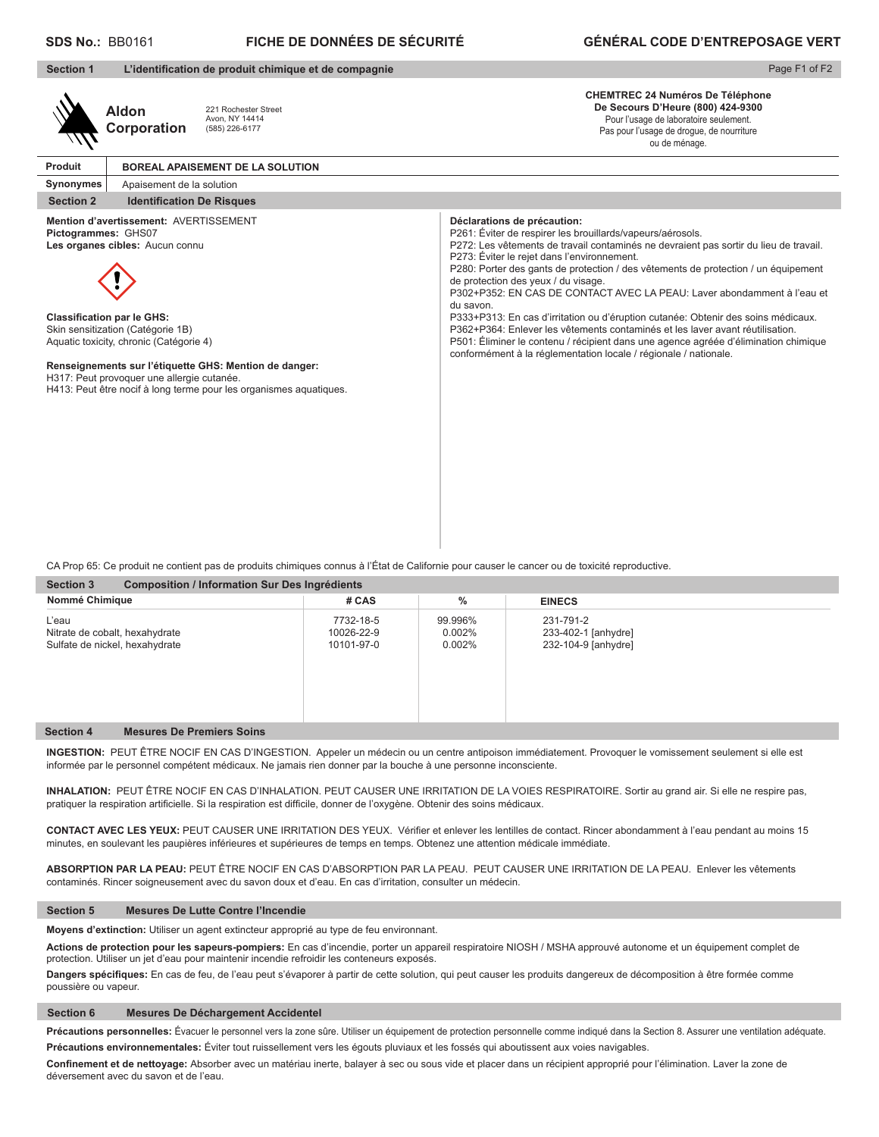#### **FICHE DE DONNÉES DE SÉCURITÉ SDS No.:** BB0161 **GÉNÉRAL CODE D'ENTREPOSAGE VERT**

| <b>Section 1</b>    | L'identification de produit chimique et de compagnie                                                                                                                                                                                                                                                                                                                         | Page F1 of F2                                                                                                                                                                                                                                                                                                                                                                                                                                                                                                                                                                                                                                                                                                                                                                           |
|---------------------|------------------------------------------------------------------------------------------------------------------------------------------------------------------------------------------------------------------------------------------------------------------------------------------------------------------------------------------------------------------------------|-----------------------------------------------------------------------------------------------------------------------------------------------------------------------------------------------------------------------------------------------------------------------------------------------------------------------------------------------------------------------------------------------------------------------------------------------------------------------------------------------------------------------------------------------------------------------------------------------------------------------------------------------------------------------------------------------------------------------------------------------------------------------------------------|
|                     | 221 Rochester Street<br><b>Aldon</b><br>Avon, NY 14414<br>Corporation<br>(585) 226-6177                                                                                                                                                                                                                                                                                      | <b>CHEMTREC 24 Numéros De Téléphone</b><br>De Secours D'Heure (800) 424-9300<br>Pour l'usage de laboratoire seulement.<br>Pas pour l'usage de drogue, de nourriture<br>ou de ménage.                                                                                                                                                                                                                                                                                                                                                                                                                                                                                                                                                                                                    |
| Produit             | <b>BOREAL APAISEMENT DE LA SOLUTION</b>                                                                                                                                                                                                                                                                                                                                      |                                                                                                                                                                                                                                                                                                                                                                                                                                                                                                                                                                                                                                                                                                                                                                                         |
| Synonymes           | Apaisement de la solution                                                                                                                                                                                                                                                                                                                                                    |                                                                                                                                                                                                                                                                                                                                                                                                                                                                                                                                                                                                                                                                                                                                                                                         |
| <b>Section 2</b>    | <b>Identification De Risques</b>                                                                                                                                                                                                                                                                                                                                             |                                                                                                                                                                                                                                                                                                                                                                                                                                                                                                                                                                                                                                                                                                                                                                                         |
| Pictogrammes: GHS07 | Mention d'avertissement: AVERTISSEMENT<br>Les organes cibles: Aucun connu<br><b>Classification par le GHS:</b><br>Skin sensitization (Catégorie 1B)<br>Aquatic toxicity, chronic (Catégorie 4)<br>Renseignements sur l'étiquette GHS: Mention de danger:<br>H317: Peut provoquer une allergie cutanée.<br>H413: Peut être nocif à long terme pour les organismes aquatiques. | Déclarations de précaution:<br>P261: Éviter de respirer les brouillards/vapeurs/aérosols.<br>P272: Les vêtements de travail contaminés ne devraient pas sortir du lieu de travail.<br>P273: Éviter le rejet dans l'environnement.<br>P280: Porter des gants de protection / des vêtements de protection / un équipement<br>de protection des yeux / du visage.<br>P302+P352: EN CAS DE CONTACT AVEC LA PEAU: Laver abondamment à l'eau et<br>du savon.<br>P333+P313: En cas d'irritation ou d'éruption cutanée: Obtenir des soins médicaux.<br>P362+P364; Enlever les vêtements contaminés et les laver avant réutilisation.<br>P501: Éliminer le contenu / récipient dans une agence agréée d'élimination chimique<br>conformément à la réglementation locale / régionale / nationale. |

CA Prop 65: Ce produit ne contient pas de produits chimiques connus à l'État de Californie pour causer le cancer ou de toxicité reproductive.

| <b>Section 3</b><br>Composition / Information Sur Des Ingrédients         |                                       |                                   |                                                         |  |  |
|---------------------------------------------------------------------------|---------------------------------------|-----------------------------------|---------------------------------------------------------|--|--|
| Nommé Chimique                                                            | # CAS                                 | $\frac{0}{0}$                     | <b>EINECS</b>                                           |  |  |
| L'eau<br>Nitrate de cobalt, hexahydrate<br>Sulfate de nickel, hexahydrate | 7732-18-5<br>10026-22-9<br>10101-97-0 | 99.996%<br>$0.002\%$<br>$0.002\%$ | 231-791-2<br>233-402-1 [anhydre]<br>232-104-9 [anhydre] |  |  |
| <b>Mesures De Premiers Soins</b><br><b>Section 4</b>                      |                                       |                                   |                                                         |  |  |

INGESTION: PEUT ÊTRE NOCIF EN CAS D'INGESTION. Appeler un médecin ou un centre antipoison immédiatement. Provoquer le vomissement seulement si elle est informée par le personnel compétent médicaux. Ne jamais rien donner par la bouche à une personne inconsciente.

**INHALATION:** PEUT ÊTRE NOCIF EN CAS D'INHALATION. PEUT CAUSER UNE IRRITATION DE LA VOIES RESPIRATOIRE. Sortir au grand air. Si elle ne respire pas, pratiquer la respiration artificielle. Si la respiration est difficile, donner de l'oxygène. Obtenir des soins médicaux.

**CONTACT AVEC LES YEUX:** PEUT CAUSER UNE IRRITATION DES YEUX. Vérifier et enlever les lentilles de contact. Rincer abondamment à l'eau pendant au moins 15 minutes, en soulevant les paupières inférieures et supérieures de temps en temps. Obtenez une attention médicale immédiate.

**ABSORPTION PAR LA PEAU:** PEUT ÊTRE NOCIF EN CAS D'ABSORPTION PAR LA PEAU. PEUT CAUSER UNE IRRITATION DE LA PEAU. Enlever les vêtements contaminés. Rincer soigneusement avec du savon doux et d'eau. En cas d'irritation, consulter un médecin.

#### **Section 5 Mesures De Lutte Contre l'Incendie**

**Moyens d'extinction:** Utiliser un agent extincteur approprié au type de feu environnant.

**Actions de protection pour les sapeurs-pompiers:** En cas d'incendie, porter un appareil respiratoire NIOSH / MSHA approuvé autonome et un équipement complet de protection. Utiliser un jet d'eau pour maintenir incendie refroidir les conteneurs exposés.

**Dangers spécifiques:** En cas de feu, de l'eau peut s'évaporer à partir de cette solution, qui peut causer les produits dangereux de décomposition à être formée comme poussière ou vapeur.

#### **Section 6 Mesures De Déchargement Accidentel**

Précautions personnelles: Évacuer le personnel vers la zone sûre. Utiliser un équipement de protection personnelle comme indiqué dans la Section 8. Assurer une ventilation adéquate. **Précautions environnementales:** Éviter tout ruissellement vers les égouts pluviaux et les fossés qui aboutissent aux voies navigables.

**Confinement et de nettoyage:** Absorber avec un matériau inerte, balayer à sec ou sous vide et placer dans un récipient approprié pour l'élimination. Laver la zone de déversement avec du savon et de l'eau.